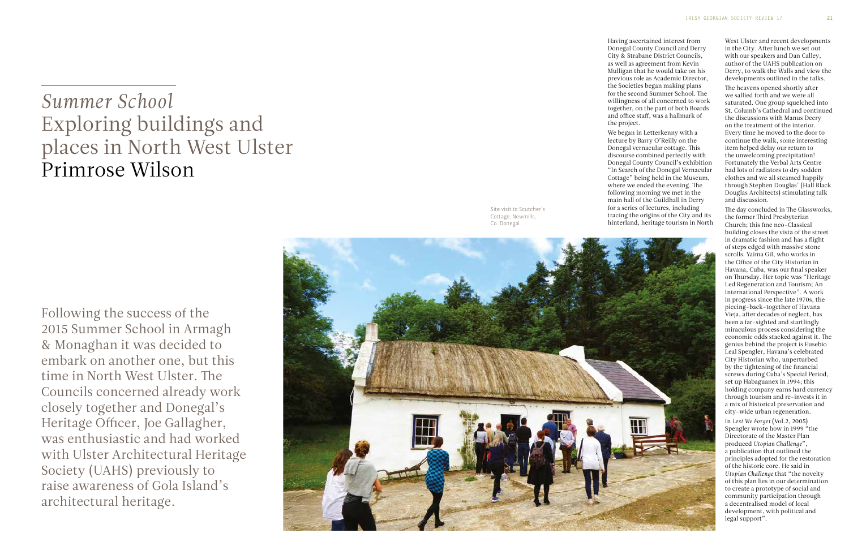Having ascertained interest from Donegal County Council and Derry City & Strabane District Councils, as well as agreement from Kevin Mulligan that he would take on his previous role as Academic Director, the Societies began making plans for the second Summer School. The willingness of all concerned to work together, on the part of both Boards and office staff, was a hallmark of the project.

We began in Letterkenny with a lecture by Barry O'Reilly on the Donegal vernacular cottage. This discourse combined perfectly with Donegal County Council's exhibition "In Search of the Donegal Vernacular Cottage" being held in the Museum, where we ended the evening. The following morning we met in the main hall of the Guildhall in Derry for a series of lectures, including tracing the origins of the City and its hinterland, heritage tourism in North

## *Summer School*  Exploring buildings and places in North West Ulster Primrose Wilson

Following the success of the 2015 Summer School in Armagh & Monaghan it was decided to embark on another one, but this time in North West Ulster. The Councils concerned already work closely together and Donegal's Heritage Officer, Joe Gallagher, was enthusiastic and had worked with Ulster Architectural Heritage Society (UAHS) previously to raise awareness of Gola Island's architectural heritage.



West Ulster and recent developments in the City. After lunch we set out with our speakers and Dan Calley, author of the UAHS publication on Derry, to walk the Walls and view the developments outlined in the talks.

The heavens opened shortly after we sallied forth and we were all saturated. One group squelched into St. Columb's Cathedral and continued the discussions with Manus Deery on the treatment of the interior. Every time he moved to the door to continue the walk, some interesting item helped delay our return to the unwelcoming precipitation! Fortunately the Verbal Arts Centre had lots of radiators to dry sodden clothes and we all steamed happily through Stephen Douglas' (Hall Black Douglas Architects) stimulating talk and discussion.

The day concluded in The Glassworks, the former Third Presbyterian Church; this fine neo-Classical building closes the vista of the street in dramatic fashion and has a flight of steps edged with massive stone scrolls. Yaima Gil, who works in the Office of the City Historian in Havana, Cuba, was our final speaker on Thursday. Her topic was "Heritage Led Regeneration and Tourism; An International Perspective". A work in progress since the late 1970s, the piecing-back-together of Havana Vieja, after decades of neglect, has been a far-sighted and startlingly miraculous process considering the economic odds stacked against it. The genius behind the project is Eusebio Leal Spengler, Havana's celebrated City Historian who, unperturbed by the tightening of the financial screws during Cuba's Special Period, set up Habaguanex in 1994; this holding company earns hard currency through tourism and re-invests it in a mix of historical preservation and city-wide urban regeneration.

In *Lest We Forget* (Vol.2, 2005) Spengler wrote how in 1999 "the Directorate of the Master Plan produced *Utopian Challenge*", a publication that outlined the principles adopted for the restoration of the historic core. He said in *Utopian Challenge* that "the novelty of this plan lies in our determination to create a prototype of social and community participation through a decentralised model of local development, with political and legal support".

Site visit to Scutcher's Cottage, Newmills, Co. Donegal